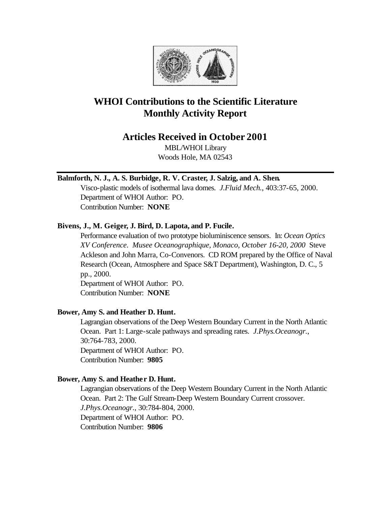

# **WHOI Contributions to the Scientific Literature Monthly Activity Report**

## **Articles Received in October 2001**

MBL/WHOI Library Woods Hole, MA 02543

## **Balmforth, N. J., A. S. Burbidge, R. V. Craster, J. Salzig, and A. Shen.**

Visco-plastic models of isothermal lava domes. *J.Fluid Mech.*, 403:37-65, 2000. Department of WHOI Author: PO. Contribution Number: **NONE**

## **Bivens, J., M. Geiger, J. Bird, D. Lapota, and P. Fucile.**

Performance evaluation of two prototype bioluminiscence sensors. In: *Ocean Optics XV Conference. Musee Oceanographique, Monaco, October 16-20, 2000* Steve Ackleson and John Marra, Co-Convenors. CD ROM prepared by the Office of Naval Research (Ocean, Atmosphere and Space S&T Department), Washington, D. C., 5 pp., 2000.

Department of WHOI Author: PO. Contribution Number: **NONE**

## **Bower, Amy S. and Heather D. Hunt.**

Lagrangian observations of the Deep Western Boundary Current in the North Atlantic Ocean. Part 1: Large-scale pathways and spreading rates. *J.Phys.Oceanogr.*, 30:764-783, 2000. Department of WHOI Author: PO. Contribution Number: **9805**

## **Bower, Amy S. and Heather D. Hunt.**

Lagrangian observations of the Deep Western Boundary Current in the North Atlantic Ocean. Part 2: The Gulf Stream-Deep Western Boundary Current crossover. *J.Phys.Oceanogr.*, 30:784-804, 2000. Department of WHOI Author: PO. Contribution Number: **9806**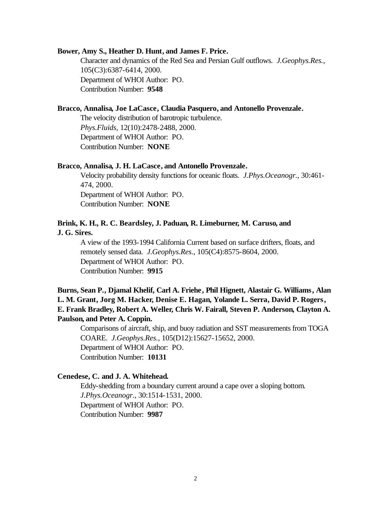#### **Bower, Amy S., Heather D. Hunt, and James F. Price.**

Character and dynamics of the Red Sea and Persian Gulf outflows. *J.Geophys.Res.*, 105(C3):6387-6414, 2000. Department of WHOI Author: PO. Contribution Number: **9548**

## **Bracco, Annalisa, Joe LaCasce, Claudia Pasquero, and Antonello Provenzale.**

The velocity distribution of barotropic turbulence. *Phys.Fluids*, 12(10):2478-2488, 2000. Department of WHOI Author: PO. Contribution Number: **NONE**

#### **Bracco, Annalisa, J. H. LaCasce, and Antonello Provenzale.**

Velocity probability density functions for oceanic floats. *J.Phys.Oceanogr.*, 30:461- 474, 2000. Department of WHOI Author: PO. Contribution Number: **NONE**

## **Brink, K. H., R. C. Beardsley, J. Paduan, R. Limeburner, M. Caruso, and J. G. Sires.**

A view of the 1993-1994 California Current based on surface drifters, floats, and remotely sensed data. *J.Geophys.Res.*, 105(C4):8575-8604, 2000. Department of WHOI Author: PO. Contribution Number: **9915**

## **Burns, Sean P., Djamal Khelif, Carl A. Friehe, Phil Hignett, Alastair G. Williams, Alan L. M. Grant, Jorg M. Hacker, Denise E. Hagan, Yolande L. Serra, David P. Rogers, E. Frank Bradley, Robert A. Weller, Chris W. Fairall, Steven P. Anderson, Clayton A. Paulson, and Peter A. Coppin.**

Comparisons of aircraft, ship, and buoy radiation and SST measurements from TOGA COARE. *J.Geophys.Res.*, 105(D12):15627-15652, 2000. Department of WHOI Author: PO. Contribution Number: **10131**

## **Cenedese, C. and J. A. Whitehead.**

Eddy-shedding from a boundary current around a cape over a sloping bottom. *J.Phys.Oceanogr.*, 30:1514-1531, 2000. Department of WHOI Author: PO. Contribution Number: **9987**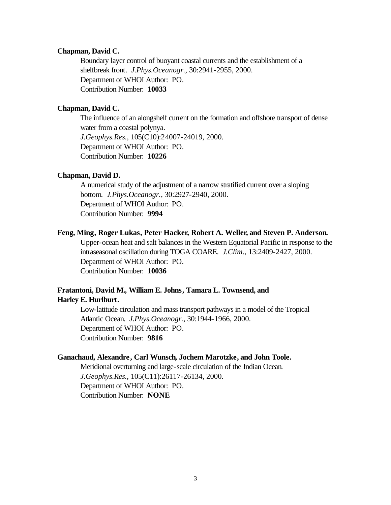#### **Chapman, David C.**

Boundary layer control of buoyant coastal currents and the establishment of a shelfbreak front. *J.Phys.Oceanogr.*, 30:2941-2955, 2000. Department of WHOI Author: PO. Contribution Number: **10033**

## **Chapman, David C.**

The influence of an alongshelf current on the formation and offshore transport of dense water from a coastal polynya. *J.Geophys.Res.*, 105(C10):24007-24019, 2000. Department of WHOI Author: PO. Contribution Number: **10226**

### **Chapman, David D.**

A numerical study of the adjustment of a narrow stratified current over a sloping bottom. *J.Phys.Oceanogr.*, 30:2927-2940, 2000. Department of WHOI Author: PO. Contribution Number: **9994**

#### **Feng, Ming, Roger Lukas, Peter Hacker, Robert A. Weller, and Steven P. Anderson.**

Upper-ocean heat and salt balances in the Western Equatorial Pacific in response to the intraseasonal oscillation during TOGA COARE. *J.Clim.*, 13:2409-2427, 2000. Department of WHOI Author: PO. Contribution Number: **10036**

## **Fratantoni, David M., William E. Johns, Tamara L. Townsend, and Harley E. Hurlburt.**

Low-latitude circulation and mass transport pathways in a model of the Tropical Atlantic Ocean. *J.Phys.Oceanogr.*, 30:1944-1966, 2000. Department of WHOI Author: PO. Contribution Number: **9816**

## **Ganachaud, Alexandre, Carl Wunsch, Jochem Marotzke, and John Toole.**

Meridional overturning and large-scale circulation of the Indian Ocean. *J.Geophys.Res.*, 105(C11):26117-26134, 2000. Department of WHOI Author: PO. Contribution Number: **NONE**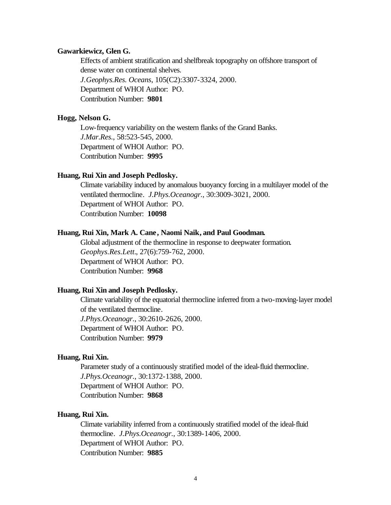#### **Gawarkiewicz, Glen G.**

Effects of ambient stratification and shelfbreak topography on offshore transport of dense water on continental shelves. *J.Geophys.Res. Oceans*, 105(C2):3307-3324, 2000. Department of WHOI Author: PO.

Contribution Number: **9801**

#### **Hogg, Nelson G.**

Low-frequency variability on the western flanks of the Grand Banks. *J.Mar.Res.*, 58:523-545, 2000. Department of WHOI Author: PO. Contribution Number: **9995**

#### **Huang, Rui Xin and Joseph Pedlosky.**

Climate variability induced by anomalous buoyancy forcing in a multilayer model of the ventilated thermocline. *J.Phys.Oceanogr.*, 30:3009-3021, 2000. Department of WHOI Author: PO. Contribution Number: **10098**

#### **Huang, Rui Xin, Mark A. Cane, Naomi Naik, and Paul Goodman.**

Global adjustment of the thermocline in response to deepwater formation. *Geophys.Res.Lett.*, 27(6):759-762, 2000. Department of WHOI Author: PO. Contribution Number: **9968**

#### **Huang, Rui Xin and Joseph Pedlosky.**

Climate variability of the equatorial thermocline inferred from a two-moving-layer model of the ventilated thermocline. *J.Phys.Oceanogr.*, 30:2610-2626, 2000. Department of WHOI Author: PO. Contribution Number: **9979**

## **Huang, Rui Xin.**

Parameter study of a continuously stratified model of the ideal-fluid thermocline. *J.Phys.Oceanogr.*, 30:1372-1388, 2000. Department of WHOI Author: PO. Contribution Number: **9868**

## **Huang, Rui Xin.**

Climate variability inferred from a continuously stratified model of the ideal-fluid thermocline. *J.Phys.Oceanogr.*, 30:1389-1406, 2000. Department of WHOI Author: PO. Contribution Number: **9885**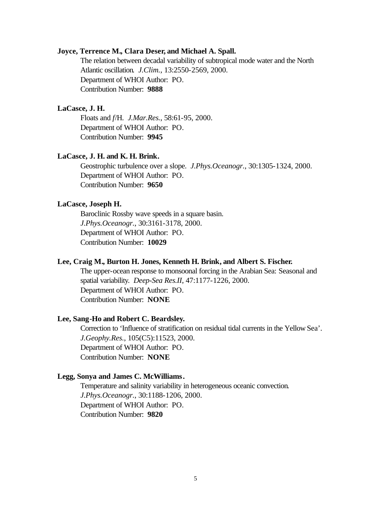#### **Joyce, Terrence M., Clara Deser, and Michael A. Spall.**

The relation between decadal variability of subtropical mode water and the North Atlantic oscillation. *J.Clim.*, 13:2550-2569, 2000. Department of WHOI Author: PO. Contribution Number: **9888**

## **LaCasce, J. H.**

Floats and *f*/H. *J.Mar.Res.*, 58:61-95, 2000. Department of WHOI Author: PO. Contribution Number: **9945**

#### **LaCasce, J. H. and K. H. Brink.**

Geostrophic turbulence over a slope. *J.Phys.Oceanogr.*, 30:1305-1324, 2000. Department of WHOI Author: PO. Contribution Number: **9650**

#### **LaCasce, Joseph H.**

Baroclinic Rossby wave speeds in a square basin. *J.Phys.Oceanogr.*, 30:3161-3178, 2000. Department of WHOI Author: PO. Contribution Number: **10029**

#### **Lee, Craig M., Burton H. Jones, Kenneth H. Brink, and Albert S. Fischer.**

The upper-ocean response to monsoonal forcing in the Arabian Sea: Seasonal and spatial variability. *Deep-Sea Res.II*, 47:1177-1226, 2000. Department of WHOI Author: PO. Contribution Number: **NONE**

#### **Lee, Sang-Ho and Robert C. Beardsley.**

Correction to 'Influence of stratification on residual tidal currents in the Yellow Sea'. *J.Geophy.Res.*, 105(C5):11523, 2000. Department of WHOI Author: PO. Contribution Number: **NONE**

#### **Legg, Sonya and James C. McWilliams.**

Temperature and salinity variability in heterogeneous oceanic convection. *J.Phys.Oceanogr.*, 30:1188-1206, 2000. Department of WHOI Author: PO. Contribution Number: **9820**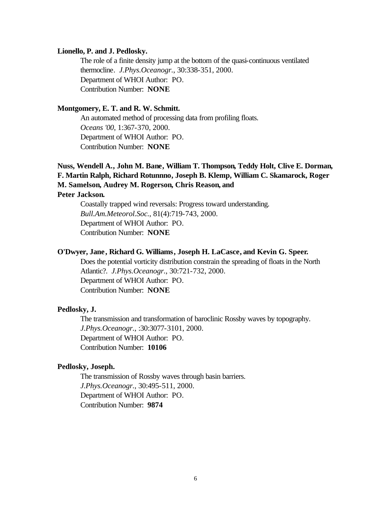#### **Lionello, P. and J. Pedlosky.**

The role of a finite density jump at the bottom of the quasi-continuous ventilated thermocline. *J.Phys.Oceanogr.*, 30:338-351, 2000. Department of WHOI Author: PO. Contribution Number: **NONE**

#### **Montgomery, E. T. and R. W. Schmitt.**

An automated method of processing data from profiling floats. *Oceans '00*, 1:367-370, 2000. Department of WHOI Author: PO. Contribution Number: **NONE**

## **Nuss, Wendell A., John M. Bane, William T. Thompson, Teddy Holt, Clive E. Dorman, F. Martin Ralph, Richard Rotunnno, Joseph B. Klemp, William C. Skamarock, Roger M. Samelson, Audrey M. Rogerson, Chris Reason, and**

## **Peter Jackson.**

Coastally trapped wind reversals: Progress toward understanding. *Bull.Am.Meteorol.Soc.*, 81(4):719-743, 2000. Department of WHOI Author: PO. Contribution Number: **NONE**

### **O'Dwyer, Jane, Richard G. Williams, Joseph H. LaCasce, and Kevin G. Speer.**

Does the potential vorticity distribution constrain the spreading of floats in the North Atlantic?. *J.Phys.Oceanogr.*, 30:721-732, 2000. Department of WHOI Author: PO. Contribution Number: **NONE**

#### **Pedlosky, J.**

The transmission and transformation of baroclinic Rossby waves by topography. *J.Phys.Oceanogr.*, :30:3077-3101, 2000. Department of WHOI Author: PO. Contribution Number: **10106**

#### **Pedlosky, Joseph.**

The transmission of Rossby waves through basin barriers. *J.Phys.Oceanogr.*, 30:495-511, 2000. Department of WHOI Author: PO. Contribution Number: **9874**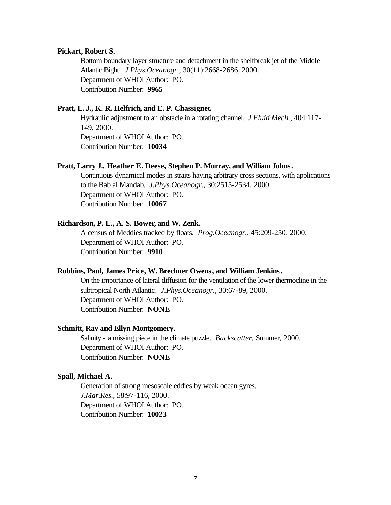#### **Pickart, Robert S.**

Bottom boundary layer structure and detachment in the shelfbreak jet of the Middle Atlantic Bight. *J.Phys.Oceanogr.*, 30(11):2668-2686, 2000. Department of WHOI Author: PO. Contribution Number: **9965**

## **Pratt, L. J., K. R. Helfrich, and E. P. Chassignet.**

Hydraulic adjustment to an obstacle in a rotating channel. *J.Fluid Mech.*, 404:117- 149, 2000. Department of WHOI Author: PO. Contribution Number: **10034**

### **Pratt, Larry J., Heather E. Deese, Stephen P. Murray, and William Johns.**

Continuous dynamical modes in straits having arbitrary cross sections, with applications to the Bab al Mandab. *J.Phys.Oceanogr.*, 30:2515-2534, 2000. Department of WHOI Author: PO. Contribution Number: **10067**

#### **Richardson, P. L., A. S. Bower, and W. Zenk.**

A census of Meddies tracked by floats. *Prog.Oceanogr.*, 45:209-250, 2000. Department of WHOI Author: PO. Contribution Number: **9910**

#### **Robbins, Paul, James Price, W. Brechner Owens, and William Jenkins.**

On the importance of lateral diffusion for the ventilation of the lower thermocline in the subtropical North Atlantic. *J.Phys.Oceanogr.*, 30:67-89, 2000. Department of WHOI Author: PO. Contribution Number: **NONE**

#### **Schmitt, Ray and Ellyn Montgomery.**

Salinity - a missing piece in the climate puzzle. *Backscatter*, Summer, 2000. Department of WHOI Author: PO. Contribution Number: **NONE**

### **Spall, Michael A.**

Generation of strong mesoscale eddies by weak ocean gyres. *J.Mar.Res.*, 58:97-116, 2000. Department of WHOI Author: PO. Contribution Number: **10023**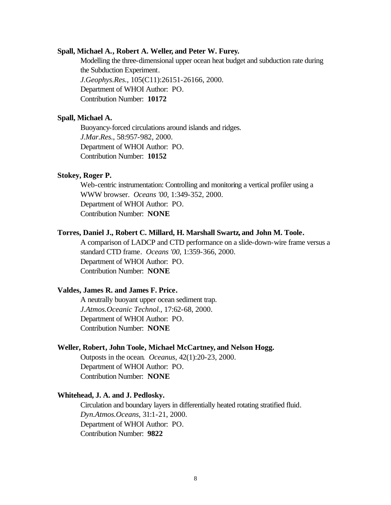#### **Spall, Michael A., Robert A. Weller, and Peter W. Furey.**

Modelling the three-dimensional upper ocean heat budget and subduction rate during the Subduction Experiment. *J.Geophys.Res.*, 105(C11):26151-26166, 2000. Department of WHOI Author: PO. Contribution Number: **10172**

#### **Spall, Michael A.**

Buoyancy-forced circulations around islands and ridges. *J.Mar.Res.*, 58:957-982, 2000. Department of WHOI Author: PO. Contribution Number: **10152**

#### **Stokey, Roger P.**

Web-centric instrumentation: Controlling and monitoring a vertical profiler using a WWW browser. *Oceans '00*, 1:349-352, 2000. Department of WHOI Author: PO. Contribution Number: **NONE**

#### **Torres, Daniel J., Robert C. Millard, H. Marshall Swartz, and John M. Toole.**

A comparison of LADCP and CTD performance on a slide-down-wire frame versus a standard CTD frame. *Oceans '00*, 1:359-366, 2000. Department of WHOI Author: PO. Contribution Number: **NONE**

#### **Valdes, James R. and James F. Price.**

A neutrally buoyant upper ocean sediment trap. *J.Atmos.Oceanic Technol.*, 17:62-68, 2000. Department of WHOI Author: PO. Contribution Number: **NONE**

#### **Weller, Robert, John Toole, Michael McCartney, and Nelson Hogg.**

Outposts in the ocean. *Oceanus*, 42(1):20-23, 2000. Department of WHOI Author: PO. Contribution Number: **NONE**

#### **Whitehead, J. A. and J. Pedlosky.**

Circulation and boundary layers in differentially heated rotating stratified fluid. *Dyn.Atmos.Oceans*, 31:1-21, 2000. Department of WHOI Author: PO. Contribution Number: **9822**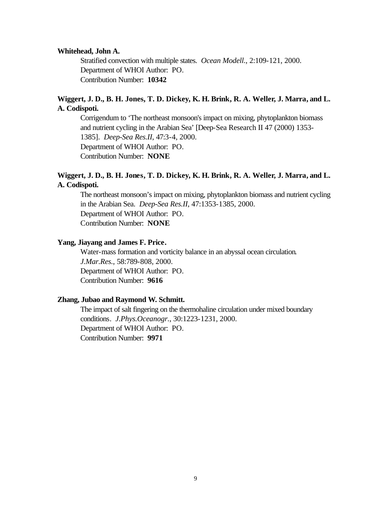#### **Whitehead, John A.**

Stratified convection with multiple states. *Ocean Modell.*, 2:109-121, 2000. Department of WHOI Author: PO. Contribution Number: **10342**

## **Wiggert, J. D., B. H. Jones, T. D. Dickey, K. H. Brink, R. A. Weller, J. Marra, and L. A. Codispoti.**

Corrigendum to 'The northeast monsoon's impact on mixing, phytoplankton biomass and nutrient cycling in the Arabian Sea' [Deep-Sea Research II 47 (2000) 1353- 1385]. *Deep-Sea Res.II*, 47:3-4, 2000. Department of WHOI Author: PO. Contribution Number: **NONE**

## **Wiggert, J. D., B. H. Jones, T. D. Dickey, K. H. Brink, R. A. Weller, J. Marra, and L. A. Codispoti.**

The northeast monsoon's impact on mixing, phytoplankton biomass and nutrient cycling in the Arabian Sea. *Deep-Sea Res.II*, 47:1353-1385, 2000. Department of WHOI Author: PO. Contribution Number: **NONE**

### **Yang, Jiayang and James F. Price.**

Water-mass formation and vorticity balance in an abyssal ocean circulation. *J.Mar.Res.*, 58:789-808, 2000. Department of WHOI Author: PO. Contribution Number: **9616**

### **Zhang, Jubao and Raymond W. Schmitt.**

The impact of salt fingering on the thermohaline circulation under mixed boundary conditions. *J.Phys.Oceanogr.*, 30:1223-1231, 2000. Department of WHOI Author: PO. Contribution Number: **9971**